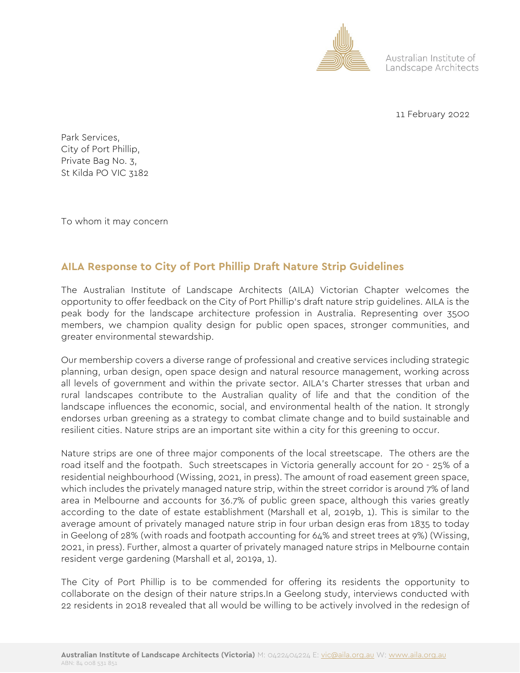

Australian Institute of Landscape Architects

11 February 2022

Park Services, City of Port Phillip, Private Bag No. 3, St Kilda PO VIC 3182

To whom it may concern

## **AILA Response to City of Port Phillip Draft Nature Strip Guidelines**

The Australian Institute of Landscape Architects (AILA) Victorian Chapter welcomes the opportunity to offer feedback on the City of Port Phillip's draft nature strip guidelines. AILA is the peak body for the landscape architecture profession in Australia. Representing over 3500 members, we champion quality design for public open spaces, stronger communities, and greater environmental stewardship.

Our membership covers a diverse range of professional and creative services including strategic planning, urban design, open space design and natural resource management, working across all levels of government and within the private sector. AILA's Charter stresses that urban and rural landscapes contribute to the Australian quality of life and that the condition of the landscape influences the economic, social, and environmental health of the nation. It strongly endorses urban greening as a strategy to combat climate change and to build sustainable and resilient cities. Nature strips are an important site within a city for this greening to occur.

Nature strips are one of three major components of the local streetscape. The others are the road itself and the footpath. Such streetscapes in Victoria generally account for 20 - 25% of a residential neighbourhood (Wissing, 2021, in press). The amount of road easement green space, which includes the privately managed nature strip, within the street corridor is around 7% of land area in Melbourne and accounts for 36.7% of public green space, although this varies greatly according to the date of estate establishment (Marshall et al, 2019b, 1). This is similar to the average amount of privately managed nature strip in four urban design eras from 1835 to today in Geelong of 28% (with roads and footpath accounting for 64% and street trees at 9%) (Wissing, 2021, in press). Further, almost a quarter of privately managed nature strips in Melbourne contain resident verge gardening (Marshall et al, 2019a, 1).

The City of Port Phillip is to be commended for offering its residents the opportunity to collaborate on the design of their nature strips.In a Geelong study, interviews conducted with 22 residents in 2018 revealed that all would be willing to be actively involved in the redesign of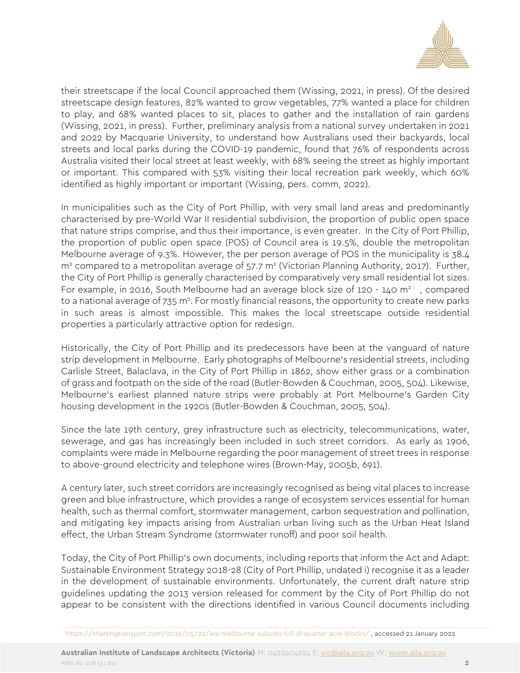

their streetscape if the local Council approached them (Wissing, 2021, in press). Of the desired streetscape design features, 82% wanted to grow vegetables, 77% wanted a place for children to play, and 68% wanted places to sit, places to gather and the installation of rain gardens (Wissing, 2021, in press). Further, preliminary analysis from a national survey undertaken in 2021 and 2022 by Macquarie University, to understand how Australians used their backyards, local streets and local parks during the COVID-19 pandemic, found that 76% of respondents across Australia visited their local street at least weekly, with 68% seeing the street as highly important or important. This compared with 53% visiting their local recreation park weekly, which 60% identified as highly important or important (Wissing, pers. comm, 2022).

In municipalities such as the City of Port Phillip, with very small land areas and predominantly characterised by pre-World War II residential subdivision, the proportion of public open space that nature strips comprise, and thus their importance, is even greater. In the City of Port Phillip, the proportion of public open space (POS) of Council area is 19.5%, double the metropolitan Melbourne average of 9.3%. However, the per person average of POS in the municipality is 38.4  $m<sup>2</sup>$  compared to a metropolitan average of 57.7  $m<sup>2</sup>$  (Victorian Planning Authority, 2017). Further, the City of Port Phillip is generally characterised by comparatively very small residential lot sizes. For example, in 2016, South Melbourne had an average block size of 120 - 140  $m<sup>21</sup>$ , compared to a national average of 735 m<sup>2</sup>. For mostly financial reasons, the opportunity to create new parks in such areas is almost impossible. This makes the local streetscape outside residential properties a particularly attractive option for redesign.

Historically, the City of Port Phillip and its predecessors have been at the vanguard of nature strip development in Melbourne. Early photographs of Melbourne's residential streets, including Carlisle Street, Balaclava, in the City of Port Phillip in 1862, show either grass or a combination of grass and footpath on the side of the road (Butler-Bowden & Couchman, 2005, 504). Likewise, Melbourne's earliest planned nature strips were probably at Port Melbourne's Garden City housing development in the 1920s (Butler-Bowden & Couchman, 2005, 504).

Since the late 19th century, grey infrastructure such as electricity, telecommunications, water, sewerage, and gas has increasingly been included in such street corridors. As early as 1906, complaints were made in Melbourne regarding the poor management of street trees in response to above-ground electricity and telephone wires (Brown-May, 2005b, 691).

A century later, such street corridors are increasingly recognised as being vital places to increase green and blue infrastructure, which provides a range of ecosystem services essential for human health, such as thermal comfort, stormwater management, carbon sequestration and pollination, and mitigating key impacts arising from Australian urban living such as the Urban Heat Island effect, the Urban Stream Syndrome (stormwater runoff) and poor soil health.

Today, the City of Port Phillip's own documents, including reports that inform the Act and Adapt: Sustainable Environment Strategy 2018-28 (City of Port Phillip, undated i) recognise it as a leader in the development of sustainable environments. Unfortunately, the current draft nature strip guidelines updating the 2013 version released for comment by the City of Port Phillip do not appear to be consistent with the directions identified in various Council documents including

<sup>1</sup> <https://chartingtransport.com/2016/05/22/are-melbourne-suburbs-full-of-quarter-acre-blocks/> , accessed 21 January 2022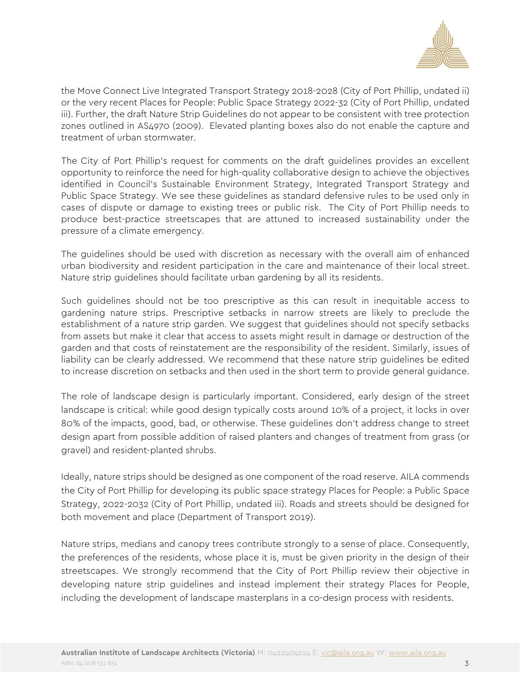

the Move Connect Live Integrated Transport Strategy 2018-2028 (City of Port Phillip, undated ii) or the very recent Places for People: Public Space Strategy 2022-32 (City of Port Phillip, undated iii). Further, the draft Nature Strip Guidelines do not appear to be consistent with tree protection zones outlined in AS4970 (2009). Elevated planting boxes also do not enable the capture and treatment of urban stormwater.

The City of Port Phillip's request for comments on the draft guidelines provides an excellent opportunity to reinforce the need for high-quality collaborative design to achieve the objectives identified in Council's Sustainable Environment Strategy, Integrated Transport Strategy and Public Space Strategy. We see these guidelines as standard defensive rules to be used only in cases of dispute or damage to existing trees or public risk. The City of Port Phillip needs to produce best-practice streetscapes that are attuned to increased sustainability under the pressure of a climate emergency.

The guidelines should be used with discretion as necessary with the overall aim of enhanced urban biodiversity and resident participation in the care and maintenance of their local street. Nature strip guidelines should facilitate urban gardening by all its residents.

Such guidelines should not be too prescriptive as this can result in inequitable access to gardening nature strips. Prescriptive setbacks in narrow streets are likely to preclude the establishment of a nature strip garden. We suggest that guidelines should not specify setbacks from assets but make it clear that access to assets might result in damage or destruction of the garden and that costs of reinstatement are the responsibility of the resident. Similarly, issues of liability can be clearly addressed. We recommend that these nature strip guidelines be edited to increase discretion on setbacks and then used in the short term to provide general guidance.

The role of landscape design is particularly important. Considered, early design of the street landscape is critical: while good design typically costs around 10% of a project, it locks in over 80% of the impacts, good, bad, or otherwise. These guidelines don't address change to street design apart from possible addition of raised planters and changes of treatment from grass (or gravel) and resident-planted shrubs.

Ideally, nature strips should be designed as one component of the road reserve. AILA commends the City of Port Phillip for developing its public space strategy Places for People: a Public Space Strategy, 2022-2032 (City of Port Phillip, undated iii). Roads and streets should be designed for both movement and place (Department of Transport 2019).

Nature strips, medians and canopy trees contribute strongly to a sense of place. Consequently, the preferences of the residents, whose place it is, must be given priority in the design of their streetscapes. We strongly recommend that the City of Port Phillip review their objective in developing nature strip guidelines and instead implement their strategy Places for People, including the development of landscape masterplans in a co-design process with residents.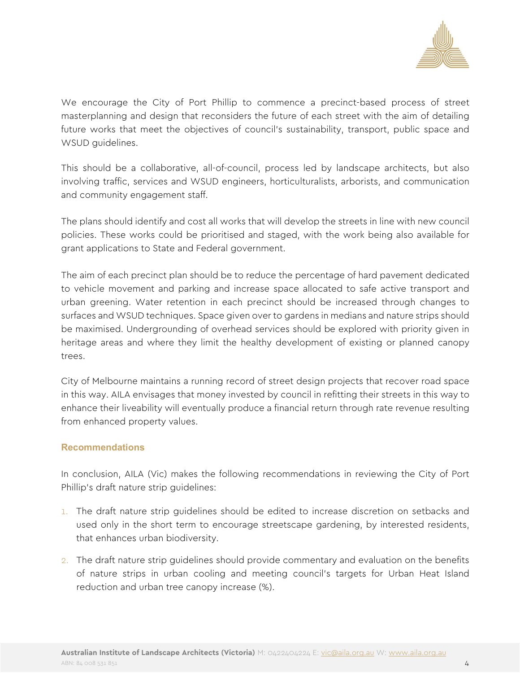

We encourage the City of Port Phillip to commence a precinct-based process of street masterplanning and design that reconsiders the future of each street with the aim of detailing future works that meet the objectives of council's sustainability, transport, public space and WSUD guidelines.

This should be a collaborative, all-of-council, process led by landscape architects, but also involving traffic, services and WSUD engineers, horticulturalists, arborists, and communication and community engagement staff.

The plans should identify and cost all works that will develop the streets in line with new council policies. These works could be prioritised and staged, with the work being also available for grant applications to State and Federal government.

The aim of each precinct plan should be to reduce the percentage of hard pavement dedicated to vehicle movement and parking and increase space allocated to safe active transport and urban greening. Water retention in each precinct should be increased through changes to surfaces and WSUD techniques. Space given over to gardens in medians and nature strips should be maximised. Undergrounding of overhead services should be explored with priority given in heritage areas and where they limit the healthy development of existing or planned canopy trees.

City of Melbourne maintains a running record of street design projects that recover road space in this way. AILA envisages that money invested by council in refitting their streets in this way to enhance their liveability will eventually produce a financial return through rate revenue resulting from enhanced property values.

## **Recommendations**

In conclusion, AILA (Vic) makes the following recommendations in reviewing the City of Port Phillip's draft nature strip guidelines:

- 1. The draft nature strip guidelines should be edited to increase discretion on setbacks and used only in the short term to encourage streetscape gardening, by interested residents, that enhances urban biodiversity.
- 2. The draft nature strip guidelines should provide commentary and evaluation on the benefits of nature strips in urban cooling and meeting council's targets for Urban Heat Island reduction and urban tree canopy increase (%).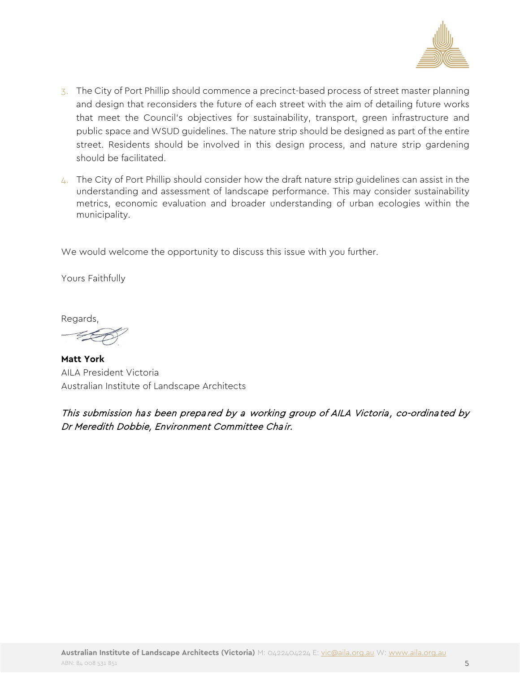

- 3. The City of Port Phillip should commence a precinct-based process of street master planning and design that reconsiders the future of each street with the aim of detailing future works that meet the Council's objectives for sustainability, transport, green infrastructure and public space and WSUD guidelines. The nature strip should be designed as part of the entire street. Residents should be involved in this design process, and nature strip gardening should be facilitated.
- 4. The City of Port Phillip should consider how the draft nature strip guidelines can assist in the understanding and assessment of landscape performance. This may consider sustainability metrics, economic evaluation and broader understanding of urban ecologies within the municipality.

We would welcome the opportunity to discuss this issue with you further.

Yours Faithfully

Regards,

**Matt York** AILA President Victoria Australian Institute of Landscape Architects

This submission has been prepared by a working group of AILA Victoria, co-ordinated by Dr Meredith Dobbie, Environment Committee Chair.